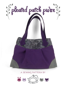

## **a sewing pattern by**

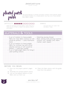#### pleated patch purse sewing tutorial

pleated patch purse

This purse features a contrast top band, contrast corner patches, pleats, and shaped handles. It's a simple pattern, but has a lot of extra details that make it unique.

### $D$ ifficulty:  $\Box \Box \Box \Box$

While the techniques are basic (pleats, straps, lining, etc.) there are a lot of them, so take it one step at a time if you're green.

#### makes:

one purse that is 10" wide, 8" tall, and about 3" deep

# **materials & tools**

| · 1/2 yd. of medium to heavyweight<br>fabric for main fabric (canvas or twill<br>would be perfect - I used interfaced<br>linen)                                                                                         | • Matching sewing thread<br>Basic sewing tools (sewing machine,<br>$\bullet$<br>scissors, iron, needles, pins, fabric<br>marker, seam ripper) |
|-------------------------------------------------------------------------------------------------------------------------------------------------------------------------------------------------------------------------|-----------------------------------------------------------------------------------------------------------------------------------------------|
| . 1/4 yd. of medium to heavyweight<br>fabric for contrast top and corner<br>patches (canvas or twill would be<br>perfect - I used faux suede)<br>. 1/2 yd. of lightweight fabric for lining (I<br>used quilting cotton) |                                                                                                                                               |
|                                                                                                                                                                                                                         |                                                                                                                                               |
|                                                                                                                                                                                                                         |                                                                                                                                               |

### **before you begin:**

- **1.** Print out the project pattern, pages  $9 - 14$
- **2.** Assemble the printed pattern pieces
- **3.** Lay out the pattern pieces on your fabric and cut them out
- **4.** Mark the fabric pieces with the guidelines from the pattern

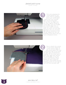sewing tutorial



First we're preparing the corner patches for the purse. Start by grabbing one of your corner patch pieces from your contrast fabric and the lining fabric. Line up their raw edges and sew them together along the curved edge. Leave the straight and notched edges free, as those don't need to be sewn. When you finish, trim the seam allowances then turn the piece right side out and press it nice and flat. Repeat this with the remaining corner pieces until you have 4 completed corners. First we're preparing the<br>comer patches for the<br>purse. Start by grabbing<br>one of your comer patch<br>fabric and the liming fabric.<br>Line up their raw edges and<br>sew them together along the<br>curved edge. Leave the straig<br>and notch



Now to attach the corners to your purse. Simply line up the notched edges of your corner pieces with that of the front side of your purse. The right sides should both be facing up. Pin the corner piece in place, then edge stitch around the curved edge, so now the corner is permanently affixed. Repeat the same thing with your other corner pieces and the remaining corners of your bag for

Sew desu ne? | www .cholyknight .com |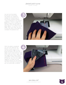#### pleated patch purse sewing tutorial

Up next are the pleats at the top of the purse. The pleats are created by folding one marked area of your purse towards another – this is indicated in the pattern guidelines. I chose to keep the pleats in place by matching up the lines, then sewing them in place about 1" or so from the top edge. When you finish, be sure to iron the tops of the folds to complete the pleated look.



With the pleats completed, you can now add the top section of your purse. Line up the bottom edge of your purse top piece with the top edge of your purse bottom. You'll know that you have it right when the single notch marks match up properly. When everything is all lined up, sew the two edges together to create the top contrast section for your purse. The front and back of your purse are now practically complete!

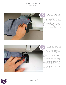sewing tutorial



With the front and back of your purse looking good, you can now sew up the sides and bottom. Line your front and back pieces up, matching up the raw edges with right sides together. Sew down the side and bottom edges of the purse, leaving the top edge free and also skipping over the corners, as we'll be sewing those next. With the of your car<br>sides and<br>your front a<br>matching up in right sides tope<br>the side and like purse, lea<br>free and also<br>corners, as we<br>next.<br>To create and next.<br>To create seams m<br>To create seams m<br>corner oper so, the raw ed



To create the corners, fold your bag diagonally so the side seams and bottom seams match up at the corner openings. When you do so, the raw edges should line up nicely. Sew along this raw edge to create some depth for your bag.

This is where you'll want to go back and repeat steps 3-6 with your lining pieces. Except during step 5 remember to leave an opening in the bottom seam of your lining as the pattern indi cates for turning the purse right side out later.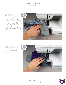sewing tutorial

With your outer purse and lining all complete, you can now sew them together along the top edge. Nestle the outer bag into the lining with right sides together, then match up the raw edges along the top. Sew all the way around the perimeter of this edge. Turn your purse right side out through the opening in the lining, then press the top seam of your purse so it's nice and crisp.



To keep the top edge looking crisp, sew an edge stitch around the perimeter of the top edge of the bag.





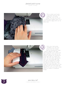sewing tutorial



This is where you'll want to go back and sew the opening in your lining closed. You can do so with a hand-sewn ladder stitch, or a quick machine edge stitch as I've done here.



With your main purse complete, you can now move onto the straps! Start by sewing your strap pieces together with right sides facing. Be sure to leave the large opening in one side as the pattern indicates for turning the strap right side out. When you finish, trim the seam allowances, then turn the strap right side out with a chopstick or similar turning tool, being sure to get the points nice and crisp. Turn under the seam allowances in the opening, then iron the strap flat. Repeat this with your last 2 strap pieces to create 2 completed straps.

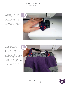sewing tutorial

To keep your straps looking nice and crisp, you'll want to edge stitch around the perimeter of your strap. This will also close up the opening you left before for turning the strap right side out. Your straps are now complete! All that's left is to attach them to the purse.



To attach your straps to the purse, simply line up the end of one strap along the pattern guidelines indicated for the top of your purse. Sew around the perimeter of the small overlapping area. Sew the other end of the strap to the other pattern guideline on the same side of the purse. Then repeat this all over again with your second strap and the other side of your purse. Now go show this off someplace fancy because YOU'RE DONE!

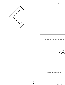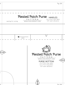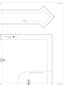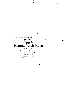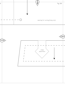![](_page_12_Figure_0.jpeg)